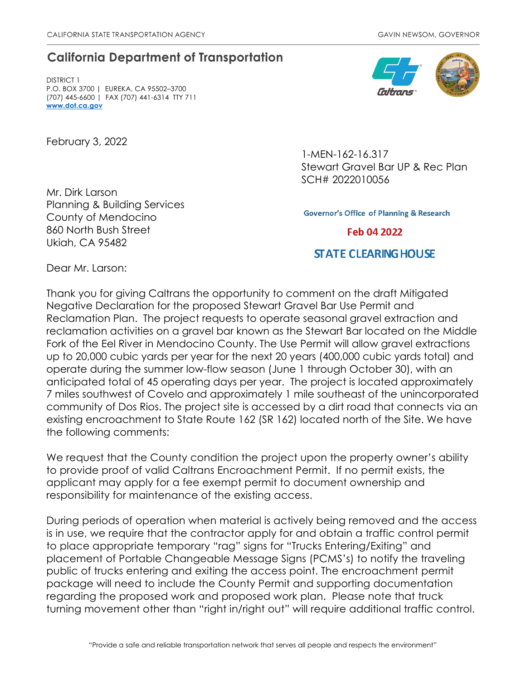## **California Department of Transportation**

DISTRICT 1 P.O. BOX 3700 | EUREKA, CA 95502–3700 (707) 445-6600 | FAX (707) 441-6314 TTY 711 **[www.dot.ca.gov](http://www.dot.ca.gov/)**

February 3, 2022

Mr. Dirk Larson Planning & Building Services County of Mendocino 860 North Bush Street Ukiah, CA 95482



1-MEN-162-16.317 Stewart Gravel Bar UP & Rec Plan SCH# 2022010056

**Governor's Office of Planning & Research** 

Feb 04 2022

## **STATE CLEARING HOUSE**

Dear Mr. Larson:

Thank you for giving Caltrans the opportunity to comment on the draft Mitigated Negative Declaration for the proposed Stewart Gravel Bar Use Permit and Reclamation Plan. The project requests to operate seasonal gravel extraction and reclamation activities on a gravel bar known as the Stewart Bar located on the Middle Fork of the Eel River in Mendocino County. The Use Permit will allow gravel extractions up to 20,000 cubic yards per year for the next 20 years (400,000 cubic yards total) and operate during the summer low-flow season (June 1 through October 30), with an anticipated total of 45 operating days per year. The project is located approximately 7 miles southwest of Covelo and approximately 1 mile southeast of the unincorporated community of Dos Rios. The project site is accessed by a dirt road that connects via an existing encroachment to State Route 162 (SR 162) located north of the Site. We have the following comments:

We request that the County condition the project upon the property owner's ability to provide proof of valid Caltrans Encroachment Permit. If no permit exists, the applicant may apply for a fee exempt permit to document ownership and responsibility for maintenance of the existing access.

During periods of operation when material is actively being removed and the access is in use, we require that the contractor apply for and obtain a traffic control permit to place appropriate temporary "rag" signs for "Trucks Entering/Exiting" and placement of Portable Changeable Message Signs (PCMS's) to notify the traveling public of trucks entering and exiting the access point. The encroachment permit package will need to include the County Permit and supporting documentation regarding the proposed work and proposed work plan. Please note that truck turning movement other than "right in/right out" will require additional traffic control.